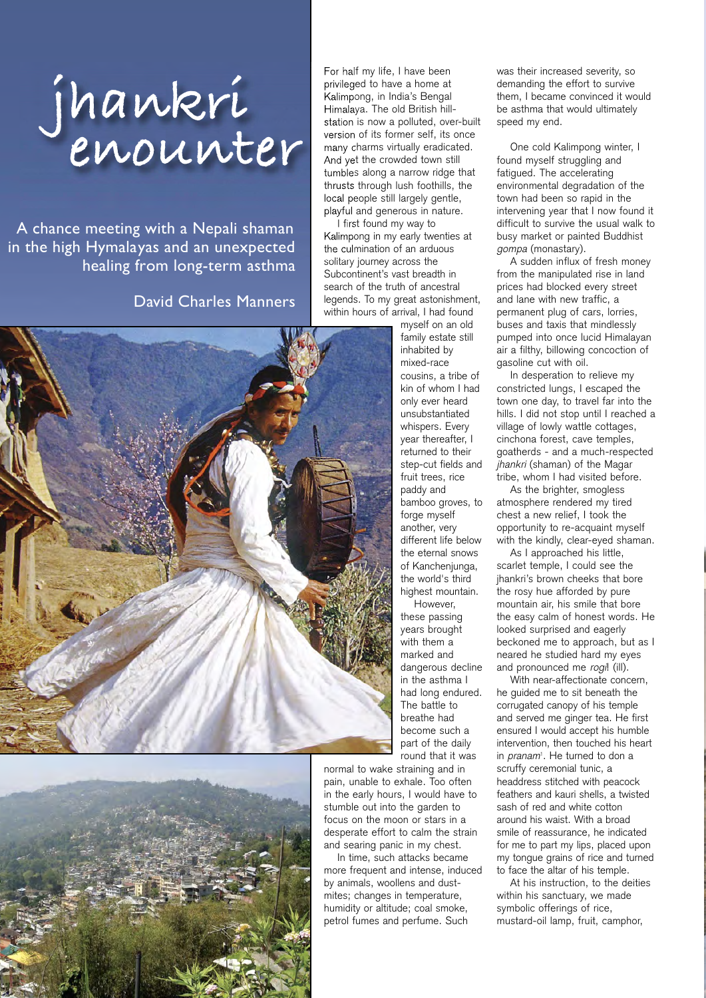## **jhankri enounter**

A chance meeting with a Nepali shaman in the high Hymalayas and an unexpected healing from long-term asthma

## David Charles Manners





For half my life, I have been privileged to have a home at Kalimpong, in India's Bengal Himalaya. The old British hillstation is now a polluted, over-built version of its former self, its once many charms virtually eradicated. And yet the crowded town still tumbles along a narrow ridge that thrusts through lush foothills, the local people still largely gentle, playful and generous in nature.

I first found my way to Kalimpong in my early twenties at the culmination of an arduous solitary journey across the Subcontinent's vast breadth in search of the truth of ancestral legends. To my great astonishment, within hours of arrival, I had found

> myself on an old family estate still inhabited by mixed-race cousins, a tribe of kin of whom I had only ever heard unsubstantiated whispers. Every year thereafter, I returned to their step-cut fields and fruit trees, rice paddy and bamboo groves, to forge myself another, very different life below the eternal snows of Kancheniunga. the world's third highest mountain.

However, these passing years brought with them a marked and dangerous decline in the asthma I had long endured. The battle to breathe had become such a part of the daily round that it was

normal to wake straining and in pain, unable to exhale. Too often in the early hours, I would have to stumble out into the garden to focus on the moon or stars in a desperate effort to calm the strain and searing panic in my chest.

In time, such attacks became more frequent and intense, induced by animals, woollens and dustmites; changes in temperature, humidity or altitude; coal smoke, petrol fumes and perfume. Such

was their increased severity, so demanding the effort to survive them, I became convinced it would be asthma that would ultimately speed my end.

One cold Kalimpong winter, I found myself struggling and fatigued. The accelerating environmental degradation of the town had been so rapid in the intervening year that I now found it difficult to survive the usual walk to busy market or painted Buddhist gompa (monastary).

A sudden influx of fresh money from the manipulated rise in land prices had blocked every street and lane with new traffic, a permanent plug of cars, lorries, buses and taxis that mindlessly pumped into once lucid Himalayan air a filthy, billowing concoction of gasoline cut with oil.

In desperation to relieve my constricted lungs, I escaped the town one day, to travel far into the hills. I did not stop until I reached a village of lowly wattle cottages, cinchona forest, cave temples, goatherds - and a much-respected jhankri (shaman) of the Magar tribe, whom I had visited before.

As the brighter, smogless atmosphere rendered my tired chest a new relief, I took the opportunity to re-acquaint myself with the kindly, clear-eyed shaman.

As I approached his little, scarlet temple, I could see the jhankri's brown cheeks that bore the rosy hue afforded by pure mountain air, his smile that bore the easy calm of honest words. He looked surprised and eagerly beckoned me to approach, but as I neared he studied hard my eyes and pronounced me rogi! (ill).

With near-affectionate concern, he guided me to sit beneath the corrugated canopy of his temple and served me ginger tea. He first ensured I would accept his humble intervention, then touched his heart in *pranam*<sup>1</sup>. He turned to don a scruffy ceremonial tunic, a headdress stitched with peacock feathers and kauri shells, a twisted sash of red and white cotton around his waist. With a broad smile of reassurance, he indicated for me to part my lips, placed upon my tongue grains of rice and turned to face the altar of his temple.

At his instruction, to the deities within his sanctuary, we made symbolic offerings of rice, mustard-oil lamp, fruit, camphor,